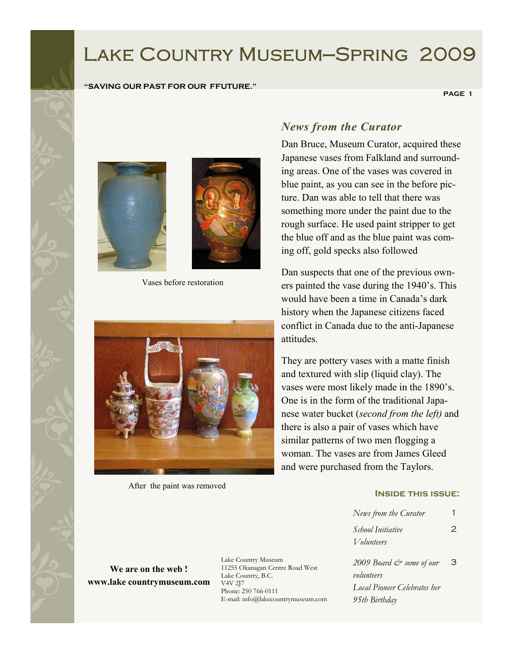# Lake Country Museum—Spring 2009

#### **"SAVING OUR PAST FOR OUR FFUTURE."**

 **PAGE 1** 





Vases before restoration



After the paint was removed

## *News from the Curator*

Dan Bruce, Museum Curator, acquired these Japanese vases from Falkland and surrounding areas. One of the vases was covered in blue paint, as you can see in the before picture. Dan was able to tell that there was something more under the paint due to the rough surface. He used paint stripper to get the blue off and as the blue paint was coming off, gold specks also followed

Dan suspects that one of the previous owners painted the vase during the 1940's. This would have been a time in Canada's dark history when the Japanese citizens faced conflict in Canada due to the anti-Japanese attitudes.

They are pottery vases with a matte finish and textured with slip (liquid clay). The vases were most likely made in the 1890's. One is in the form of the traditional Japanese water bucket (*second from the left)* and there is also a pair of vases which have similar patterns of two men flogging a woman. The vases are from James Gleed and were purchased from the Taylors.

#### **Inside this issue:**

| News from the Curator               |   |
|-------------------------------------|---|
| School Initiative                   | 2 |
| V olunteers                         |   |
| 2009 Board & some of our            | З |
| volunteers                          |   |
| <b>Local Pioneer Celebrates her</b> |   |
| 95th Birthday                       |   |

**We are on the web ! www.lake countrymuseum.com**  Lake Country Museum 11255 Okanagan Centre Road West Lake Country, B.C. V4V 2J7 Phone: 250 766-0111 E-mail: info@lakecountrymuseum.com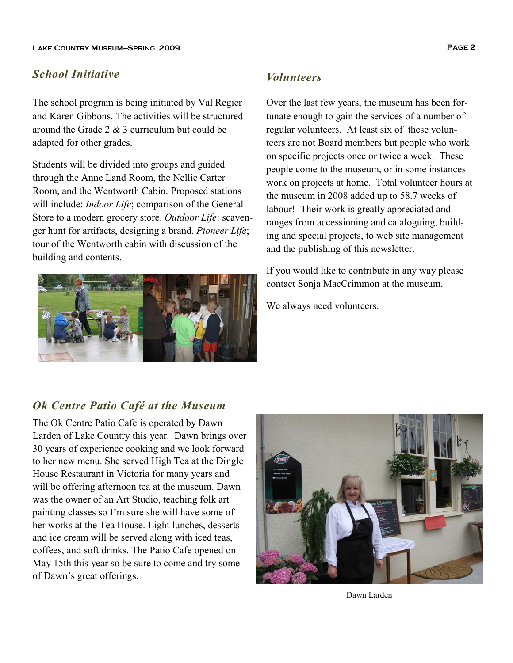#### *School Initiative*

The school program is being initiated by Val Regier and Karen Gibbons. The activities will be structured around the Grade 2  $\&$  3 curriculum but could be adapted for other grades.

Students will be divided into groups and guided through the Anne Land Room, the Nellie Carter Room, and the Wentworth Cabin. Proposed stations will include: *Indoor Life*; comparison of the General Store to a modern grocery store. *Outdoor Life*: scavenger hunt for artifacts, designing a brand. *Pioneer Life*; tour of the Wentworth cabin with discussion of the building and contents.



## *Volunteers*

Over the last few years, the museum has been fortunate enough to gain the services of a number of regular volunteers. At least six of these volunteers are not Board members but people who work on specific projects once or twice a week. These people come to the museum, or in some instances work on projects at home. Total volunteer hours at the museum in 2008 added up to 58.7 weeks of labour! Their work is greatly appreciated and ranges from accessioning and cataloguing, building and special projects, to web site management and the publishing of this newsletter.

If you would like to contribute in any way please contact Sonja MacCrimmon at the museum.

We always need volunteers.

## *Ok Centre Patio Café at the Museum*

The Ok Centre Patio Cafe is operated by Dawn Larden of Lake Country this year. Dawn brings over 30 years of experience cooking and we look forward to her new menu. She served High Tea at the Dingle House Restaurant in Victoria for many years and will be offering afternoon tea at the museum. Dawn was the owner of an Art Studio, teaching folk art painting classes so I'm sure she will have some of her works at the Tea House. Light lunches, desserts and ice cream will be served along with iced teas, coffees, and soft drinks. The Patio Cafe opened on May 15th this year so be sure to come and try some of Dawn's great offerings.



Dawn Larden